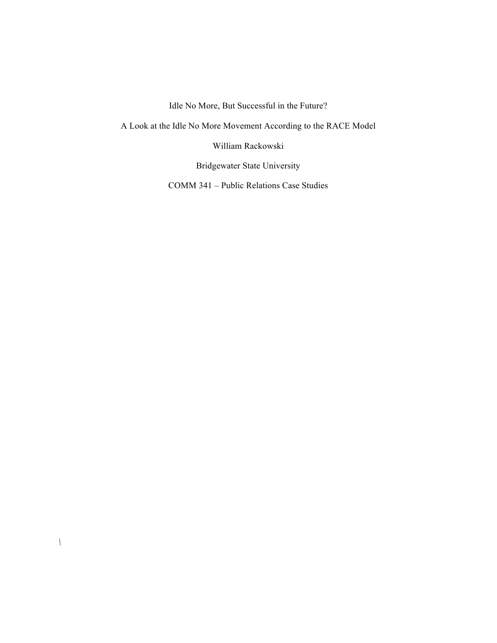Idle No More, But Successful in the Future?

A Look at the Idle No More Movement According to the RACE Model

William Rackowski

Bridgewater State University

COMM 341 – Public Relations Case Studies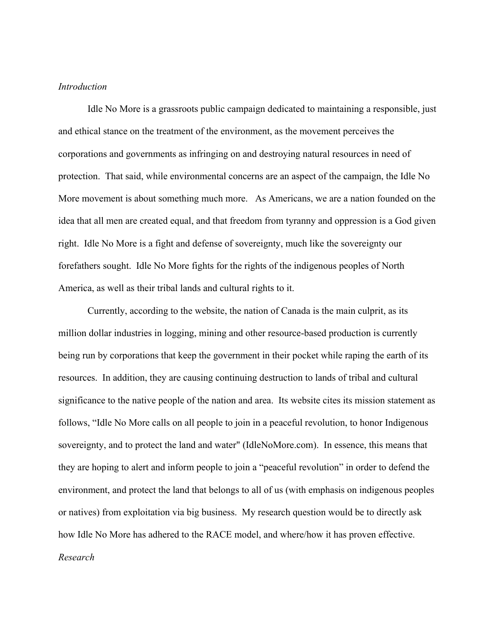## *Introduction*

Idle No More is a grassroots public campaign dedicated to maintaining a responsible, just and ethical stance on the treatment of the environment, as the movement perceives the corporations and governments as infringing on and destroying natural resources in need of protection. That said, while environmental concerns are an aspect of the campaign, the Idle No More movement is about something much more. As Americans, we are a nation founded on the idea that all men are created equal, and that freedom from tyranny and oppression is a God given right. Idle No More is a fight and defense of sovereignty, much like the sovereignty our forefathers sought. Idle No More fights for the rights of the indigenous peoples of North America, as well as their tribal lands and cultural rights to it.

Currently, according to the website, the nation of Canada is the main culprit, as its million dollar industries in logging, mining and other resource-based production is currently being run by corporations that keep the government in their pocket while raping the earth of its resources. In addition, they are causing continuing destruction to lands of tribal and cultural significance to the native people of the nation and area. Its website cites its mission statement as follows, "Idle No More calls on all people to join in a peaceful revolution, to honor Indigenous sovereignty, and to protect the land and water" (IdleNoMore.com). In essence, this means that they are hoping to alert and inform people to join a "peaceful revolution" in order to defend the environment, and protect the land that belongs to all of us (with emphasis on indigenous peoples or natives) from exploitation via big business. My research question would be to directly ask how Idle No More has adhered to the RACE model, and where/how it has proven effective. *Research*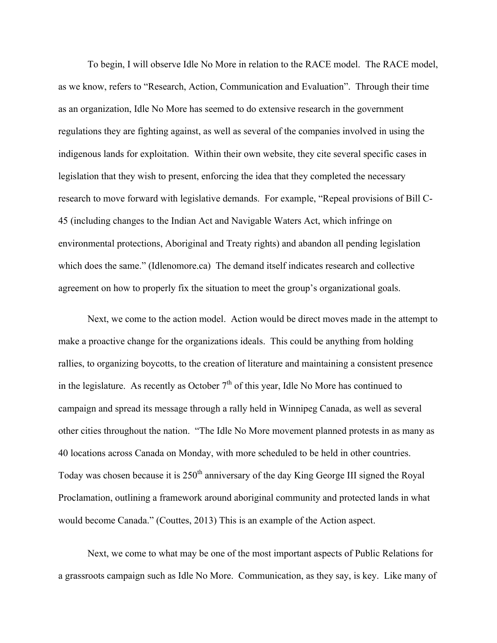To begin, I will observe Idle No More in relation to the RACE model. The RACE model, as we know, refers to "Research, Action, Communication and Evaluation". Through their time as an organization, Idle No More has seemed to do extensive research in the government regulations they are fighting against, as well as several of the companies involved in using the indigenous lands for exploitation. Within their own website, they cite several specific cases in legislation that they wish to present, enforcing the idea that they completed the necessary research to move forward with legislative demands. For example, "Repeal provisions of Bill C-45 (including changes to the Indian Act and Navigable Waters Act, which infringe on environmental protections, Aboriginal and Treaty rights) and abandon all pending legislation which does the same." (Idlenomore.ca) The demand itself indicates research and collective agreement on how to properly fix the situation to meet the group's organizational goals.

Next, we come to the action model. Action would be direct moves made in the attempt to make a proactive change for the organizations ideals. This could be anything from holding rallies, to organizing boycotts, to the creation of literature and maintaining a consistent presence in the legislature. As recently as October  $7<sup>th</sup>$  of this year, Idle No More has continued to campaign and spread its message through a rally held in Winnipeg Canada, as well as several other cities throughout the nation. "The Idle No More movement planned protests in as many as 40 locations across Canada on Monday, with more scheduled to be held in other countries. Today was chosen because it is  $250<sup>th</sup>$  anniversary of the day King George III signed the Royal Proclamation, outlining a framework around aboriginal community and protected lands in what would become Canada." (Couttes, 2013) This is an example of the Action aspect.

Next, we come to what may be one of the most important aspects of Public Relations for a grassroots campaign such as Idle No More. Communication, as they say, is key. Like many of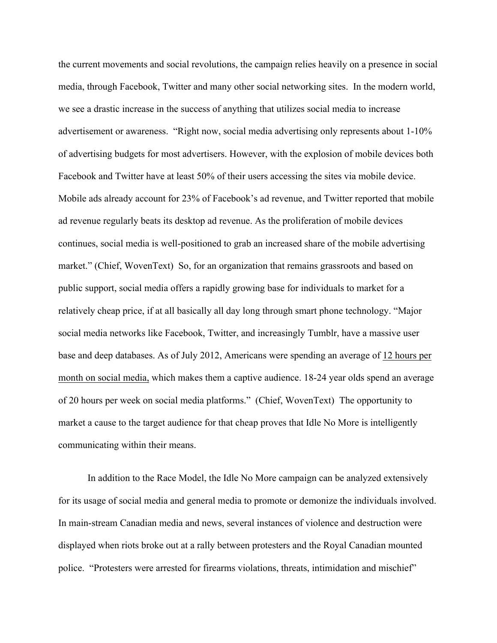the current movements and social revolutions, the campaign relies heavily on a presence in social media, through Facebook, Twitter and many other social networking sites. In the modern world, we see a drastic increase in the success of anything that utilizes social media to increase advertisement or awareness. "Right now, social media advertising only represents about 1-10% of advertising budgets for most advertisers. However, with the explosion of mobile devices both Facebook and Twitter have at least 50% of their users accessing the sites via mobile device. Mobile ads already account for 23% of Facebook's ad revenue, and Twitter reported that mobile ad revenue regularly beats its desktop ad revenue. As the proliferation of mobile devices continues, social media is well-positioned to grab an increased share of the mobile advertising market." (Chief, WovenText) So, for an organization that remains grassroots and based on public support, social media offers a rapidly growing base for individuals to market for a relatively cheap price, if at all basically all day long through smart phone technology. "Major social media networks like Facebook, Twitter, and increasingly Tumblr, have a massive user base and deep databases. As of July 2012, Americans were spending an average of 12 hours per month on social media, which makes them a captive audience. 18-24 year olds spend an average of 20 hours per week on social media platforms." (Chief, WovenText) The opportunity to market a cause to the target audience for that cheap proves that Idle No More is intelligently communicating within their means.

In addition to the Race Model, the Idle No More campaign can be analyzed extensively for its usage of social media and general media to promote or demonize the individuals involved. In main-stream Canadian media and news, several instances of violence and destruction were displayed when riots broke out at a rally between protesters and the Royal Canadian mounted police. "Protesters were arrested for firearms violations, threats, intimidation and mischief"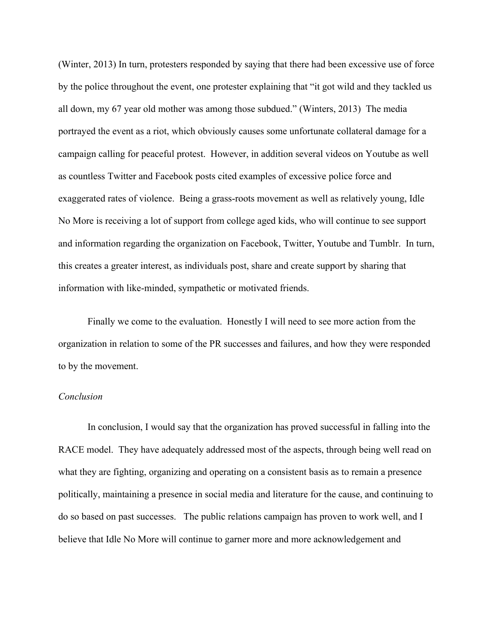(Winter, 2013) In turn, protesters responded by saying that there had been excessive use of force by the police throughout the event, one protester explaining that "it got wild and they tackled us all down, my 67 year old mother was among those subdued." (Winters, 2013) The media portrayed the event as a riot, which obviously causes some unfortunate collateral damage for a campaign calling for peaceful protest. However, in addition several videos on Youtube as well as countless Twitter and Facebook posts cited examples of excessive police force and exaggerated rates of violence. Being a grass-roots movement as well as relatively young, Idle No More is receiving a lot of support from college aged kids, who will continue to see support and information regarding the organization on Facebook, Twitter, Youtube and Tumblr. In turn, this creates a greater interest, as individuals post, share and create support by sharing that information with like-minded, sympathetic or motivated friends.

Finally we come to the evaluation. Honestly I will need to see more action from the organization in relation to some of the PR successes and failures, and how they were responded to by the movement.

## *Conclusion*

In conclusion, I would say that the organization has proved successful in falling into the RACE model. They have adequately addressed most of the aspects, through being well read on what they are fighting, organizing and operating on a consistent basis as to remain a presence politically, maintaining a presence in social media and literature for the cause, and continuing to do so based on past successes. The public relations campaign has proven to work well, and I believe that Idle No More will continue to garner more and more acknowledgement and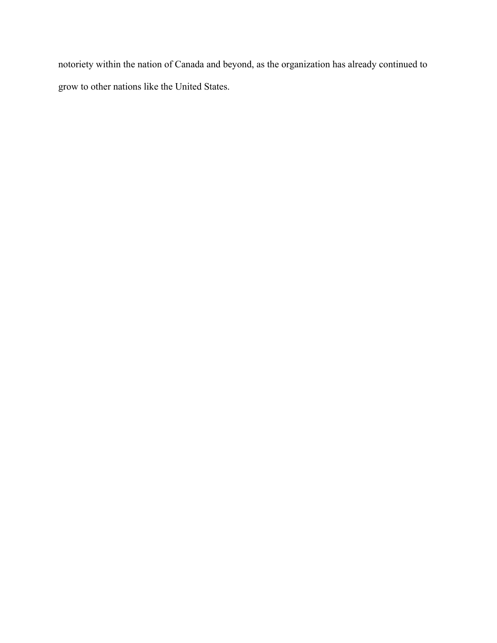notoriety within the nation of Canada and beyond, as the organization has already continued to grow to other nations like the United States.